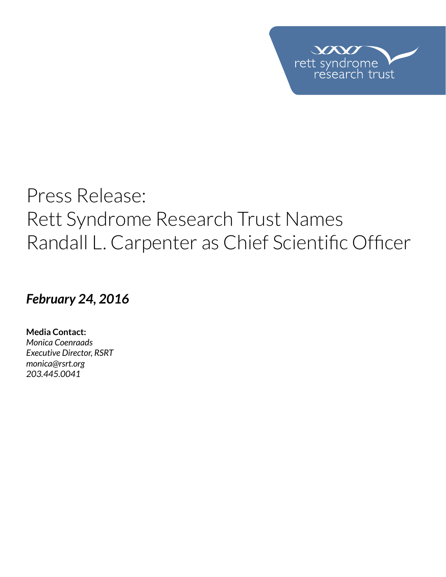

# Press Release: Rett Syndrome Research Trust Names Randall L. Carpenter as Chief Scientific Officer

*February 24, 2016*

**Media Contact:**  *Monica Coenraads Executive Director, RSRT [monica@rsrt.org](mailto:monica%40rsrt.org?subject=Press%20Release%20%7C%20CSO%20Announce) 203.445.0041*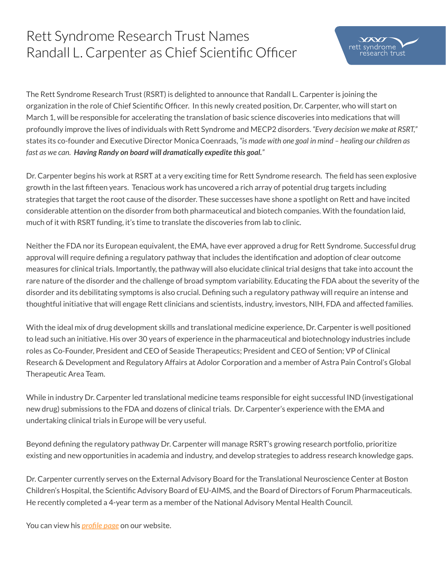# Rett Syndrome Research Trust Names Randall L. Carpenter as Chief Scientific Officer



The Rett Syndrome Research Trust (RSRT) is delighted to announce that Randall L. Carpenter is joining the organization in the role of Chief Scientific Officer. In this newly created position, Dr. Carpenter, who will start on March 1, will be responsible for accelerating the translation of basic science discoveries into medications that will profoundly improve the lives of individuals with Rett Syndrome and MECP2 disorders. *"Every decision we make at RSRT,"*  states its co-founder and Executive Director Monica Coenraads, *"is made with one goal in mind – healing our children as fast as we can. Having Randy on board will dramatically expedite this goal."* 

Dr. Carpenter begins his work at RSRT at a very exciting time for Rett Syndrome research. The field has seen explosive growth in the last fifteen years. Tenacious work has uncovered a rich array of potential drug targets including strategies that target the root cause of the disorder. These successes have shone a spotlight on Rett and have incited considerable attention on the disorder from both pharmaceutical and biotech companies. With the foundation laid, much of it with RSRT funding, it's time to translate the discoveries from lab to clinic.

Neither the FDA nor its European equivalent, the EMA, have ever approved a drug for Rett Syndrome. Successful drug approval will require defining a regulatory pathway that includes the identification and adoption of clear outcome measures for clinical trials. Importantly, the pathway will also elucidate clinical trial designs that take into account the rare nature of the disorder and the challenge of broad symptom variability. Educating the FDA about the severity of the disorder and its debilitating symptoms is also crucial. Defining such a regulatory pathway will require an intense and thoughtful initiative that will engage Rett clinicians and scientists, industry, investors, NIH, FDA and affected families.

With the ideal mix of drug development skills and translational medicine experience, Dr. Carpenter is well positioned to lead such an initiative. His over 30 years of experience in the pharmaceutical and biotechnology industries include roles as Co-Founder, President and CEO of Seaside Therapeutics; President and CEO of Sention; VP of Clinical Research & Development and Regulatory Affairs at Adolor Corporation and a member of Astra Pain Control's Global Therapeutic Area Team.

While in industry Dr. Carpenter led translational medicine teams responsible for eight successful IND (investigational new drug) submissions to the FDA and dozens of clinical trials. Dr. Carpenter's experience with the EMA and undertaking clinical trials in Europe will be very useful.

Beyond defining the regulatory pathway Dr. Carpenter will manage RSRT's growing research portfolio, prioritize existing and new opportunities in academia and industry, and develop strategies to address research knowledge gaps.

Dr. Carpenter currently serves on the External Advisory Board for the Translational Neuroscience Center at Boston Children's Hospital, the Scientific Advisory Board of EU-AIMS, and the Board of Directors of Forum Pharmaceuticals. He recently completed a 4-year term as a member of the National Advisory Mental Health Council.

You can view his *[profile page](http://reverserett.org/about-us/people/randall-carpenter/)* on our website.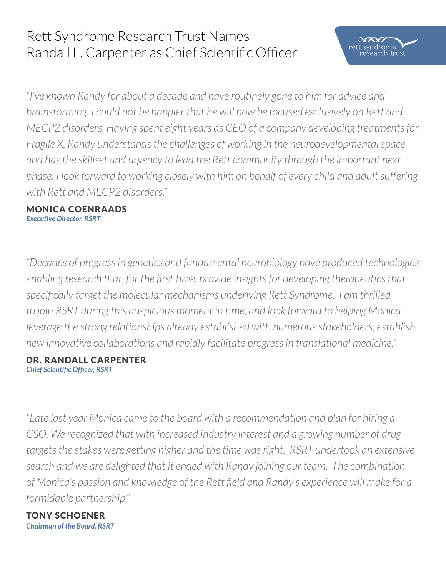# Rett Syndrome Research Trust Names Randall L. Carpenter as Chief Scientific Officer

*"I've known Randy for about a decade and have routinely gone to him for advice and brainstorming. I could not be happier that he will now be focused exclusively on Rett and MECP2 disorders. Having spent eight years as CEO of a company developing treatments for Fragile X, Randy understands the challenges of working in the neurodevelopmental space and has the skillset and urgency to lead the Rett community through the important next phase. I look forward to working closely with him on behalf of every child and adult suffering with Rett and MECP2 disorders."*

 $\chi$ rett syndrome esearch trust

#### Monica Coenraads *Executive Director, RSRT*

*"Decades of progress in genetics and fundamental neurobiology have produced technologies enabling research that, for the first time, provide insights for developing therapeutics that specifically target the molecular mechanisms underlying Rett Syndrome. I am thrilled to join RSRT during this auspicious moment in time, and look forward to helping Monica leverage the strong relationships already established with numerous stakeholders, establish new innovative collaborations and rapidly facilitate progress in translational medicine."* 

### dr. randall carpenter *Chief Scientific Officer, RSRT*

*"Late last year Monica came to the board with a recommendation and plan for hiring a CSO. We recognized that with increased industry interest and a growing number of drug targets the stakes were getting higher and the time was right. RSRT undertook an extensive search and we are delighted that it ended with Randy joining our team. The combination of Monica's passion and knowledge of the Rett field and Randy's experience will make for a formidable partnership."* 

### TONY SCHOENER *Chairman of the Board, RSRT*